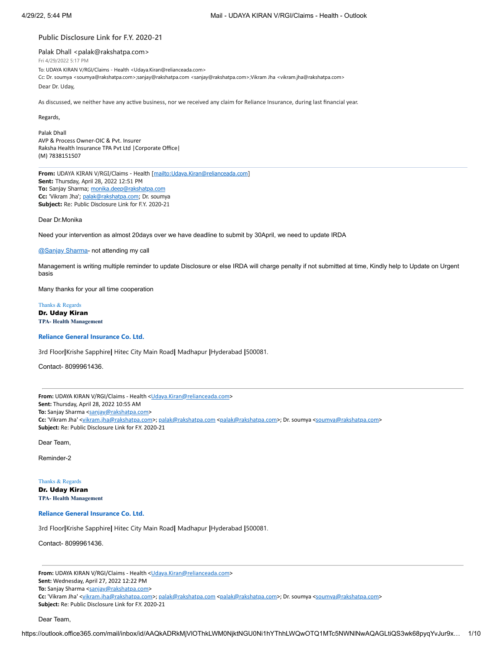## **Public Disclosure Link for F.Y. 2020-21**

Palak Dhall <palak@rakshatpa.com>

Fri 4/29/2022 5:17 PM

To: UDAYA KIRAN V/RGI/Claims - Health <Udaya.Kiran@relianceada.com>

Cc: Dr. soumya <soumya@rakshatpa.com>;sanjay@rakshatpa.com <sanjay@rakshatpa.com>;Vikram Jha <vikram.jha@rakshatpa.com>

Dear Dr. Uday,

As discussed, we neither have any active business, nor we received any claim for Reliance Insurance, during last financial year.

Regards,

Palak Dhall AVP & Process Owner-OIC & Pvt. Insurer Raksha Health Insurance TPA Pvt Ltd |Corporate Office| (M) 7838151507

**From:** UDAYA KIRAN V/RGI/Claims - Health [\[mailto:Udaya.Kiran@relianceada.com\]](mailto:Udaya.Kiran@relianceada.com) **Sent:** Thursday, April 28, 2022 12:51 PM **To:** Sanjay Sharma; [monika.deep@rakshatpa.com](mailto:monika.deep@rakshatpa.com) **Cc:** 'Vikram Jha'; [palak@rakshatpa.com;](mailto:palak@rakshatpa.com) Dr. soumya **Subject:** Re: Public Disclosure Link for F.Y. 2020-21

Dear Dr.Monika

Need your intervention as almost 20days over we have deadline to submit by 30April, we need to update IRDA

#### [@Sanjay](mailto:sanjay@rakshatpa.com) Sharma- not attending my call

Management is writing multiple reminder to update Disclosure or else IRDA will charge penalty if not submitted at time, Kindly help to Update on Urgent basis

Many thanks for your all time cooperation

Thanks & Regards Dr. Uday Kiran **TPA- Health Management**

# **Reliance General Insurance Co. Ltd.**

3rd Floor**|**Krishe Sapphire**|** Hitec City Main Road**|** Madhapur **|**Hyderabad **|**500081.

Contact- 8099961436.

From: UDAYA KIRAN V/RGI/Claims - Health < Udaya.Kiran@relianceada.com> **Sent:** Thursday, April 28, 2022 10:55 AM To: Sanjay Sharma <[sanjay@rakshatpa.com>](mailto:sanjay@rakshatpa.com) Cc: 'Vikram Jha' <[vikram.jha@rakshatpa.com>](mailto:vikram.jha@rakshatpa.com); [palak@rakshatpa.com](mailto:palak@rakshatpa.com) <palak@rakshatpa.com>; Dr. soumya <[soumya@rakshatpa.com](mailto:soumya@rakshatpa.com)> **Subject:** Re: Public Disclosure Link for F.Y. 2020-21

Dear Team,

Reminder-2

Thanks & Regards Dr. Uday Kiran **TPA- Health Management**

**Reliance General Insurance Co. Ltd.**

3rd Floor**|**Krishe Sapphire**|** Hitec City Main Road**|** Madhapur **|**Hyderabad **|**500081.

Contact- 8099961436.

From: UDAYA KIRAN V/RGI/Claims - Health [<Udaya.Kiran@relianceada.com](mailto:Udaya.Kiran@relianceada.com)> **Sent:** Wednesday, April 27, 2022 12:22 PM

To: Sanjay Sharma <[sanjay@rakshatpa.com>](mailto:sanjay@rakshatpa.com)

Cc: 'Vikram Jha' <[vikram.jha@rakshatpa.com>](mailto:vikram.jha@rakshatpa.com); [palak@rakshatpa.com](mailto:palak@rakshatpa.com) <palak@rakshatpa.com>; Dr. soumya <[soumya@rakshatpa.com](mailto:soumya@rakshatpa.com)>

**Subject:** Re: Public Disclosure Link for F.Y. 2020-21

Dear Team,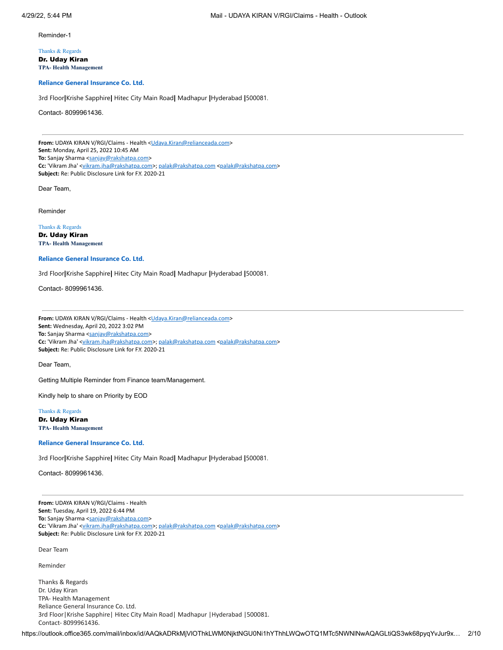Reminder-1

Thanks & Regards Dr. Uday Kiran **TPA- Health Management**

**Reliance General Insurance Co. Ltd.**

3rd Floor**|**Krishe Sapphire**|** Hitec City Main Road**|** Madhapur **|**Hyderabad **|**500081.

Contact- 8099961436.

From: UDAYA KIRAN V/RGI/Claims - Health < Udaya.Kiran@relianceada.com> **Sent:** Monday, April 25, 2022 10:45 AM To: Sanjay Sharma <[sanjay@rakshatpa.com>](mailto:sanjay@rakshatpa.com) Cc: 'Vikram Jha' <[vikram.jha@rakshatpa.com>](mailto:vikram.jha@rakshatpa.com); [palak@rakshatpa.com](mailto:palak@rakshatpa.com) <palak@rakshatpa.com> **Subject:** Re: Public Disclosure Link for F.Y. 2020-21

Dear Team,

Reminder

Thanks & Regards

Dr. Uday Kiran **TPA- Health Management**

**Reliance General Insurance Co. Ltd.**

3rd Floor**|**Krishe Sapphire**|** Hitec City Main Road**|** Madhapur **|**Hyderabad **|**500081.

Contact- 8099961436.

From: UDAYA KIRAN V/RGI/Claims - Health < Udaya.Kiran@relianceada.com> **Sent:** Wednesday, April 20, 2022 3:02 PM To: Sanjay Sharma <[sanjay@rakshatpa.com>](mailto:sanjay@rakshatpa.com) **Cc:** 'Vikram Jha' <[vikram.jha@rakshatpa.com>](mailto:vikram.jha@rakshatpa.com); [palak@rakshatpa.com](mailto:palak@rakshatpa.com) <palak@rakshatpa.com> **Subject:** Re: Public Disclosure Link for F.Y. 2020-21

Dear Team,

Getting Multiple Reminder from Finance team/Management.

Kindly help to share on Priority by EOD

Thanks & Regards Dr. Uday Kiran

**TPA- Health Management**

**Reliance General Insurance Co. Ltd.**

3rd Floor**|**Krishe Sapphire**|** Hitec City Main Road**|** Madhapur **|**Hyderabad **|**500081.

Contact- 8099961436.

**From:** UDAYA KIRAN V/RGI/Claims - Health **Sent:** Tuesday, April 19, 2022 6:44 PM To: Sanjay Sharma <[sanjay@rakshatpa.com>](mailto:sanjay@rakshatpa.com) Cc: 'Vikram Jha' <[vikram.jha@rakshatpa.com>](mailto:vikram.jha@rakshatpa.com); [palak@rakshatpa.com](mailto:palak@rakshatpa.com) <palak@rakshatpa.com> **Subject:** Re: Public Disclosure Link for F.Y. 2020-21

Dear Team

Reminder

Thanks & Regards Dr. Uday Kiran TPA- Health Management Reliance General Insurance Co. Ltd. 3rd Floor|Krishe Sapphire| Hitec City Main Road| Madhapur |Hyderabad |500081. Contact- 8099961436.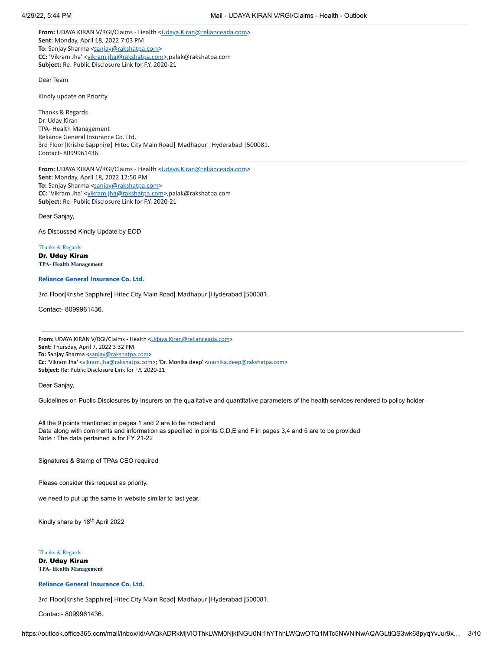From: UDAYA KIRAN V/RGI/Claims - Health < [Udaya.Kiran@relianceada.com>](mailto:Udaya.Kiran@relianceada.com) **Sent:** Monday, April 18, 2022 7:03 PM **To:** Sanjay Sharma <[sanjay@rakshatpa.com](mailto:sanjay@rakshatpa.com)> **CC:** 'Vikram Jha' [<vikram.jha@rakshatpa.com](mailto:vikram.jha@rakshatpa.com)>,palak@rakshatpa.com **Subject:** Re: Public Disclosure Link for F.Y. 2020-21

Dear Team

Kindly update on Priority

Thanks & Regards Dr. Uday Kiran TPA- Health Management Reliance General Insurance Co. Ltd. 3rd Floor|Krishe Sapphire| Hitec City Main Road| Madhapur |Hyderabad |500081. Contact- 8099961436.

**From:** UDAYA KIRAN V/RGI/Claims - Health <[Udaya.Kiran@relianceada.com>](mailto:Udaya.Kiran@relianceada.com) **Sent:** Monday, April 18, 2022 12:50 PM To: Sanjay Sharma <[sanjay@rakshatpa.com](mailto:sanjay@rakshatpa.com)> **CC:** 'Vikram Jha' [<vikram.jha@rakshatpa.com](mailto:vikram.jha@rakshatpa.com)>,palak@rakshatpa.com **Subject:** Re: Public Disclosure Link for F.Y. 2020-21

Dear Sanjay,

As Discussed Kindly Update by EOD

Thanks & Regards Dr. Uday Kiran **TPA- Health Management**

# **Reliance General Insurance Co. Ltd.**

3rd Floor**|**Krishe Sapphire**|** Hitec City Main Road**|** Madhapur **|**Hyderabad **|**500081.

Contact- 8099961436.

From: UDAYA KIRAN V/RGI/Claims - Health < Udaya.Kiran@relianceada.com> **Sent:** Thursday, April 7, 2022 3:32 PM To: Sanjay Sharma <[sanjay@rakshatpa.com>](mailto:sanjay@rakshatpa.com) Cc: 'Vikram Jha' <[vikram.jha@rakshatpa.com>](mailto:vikram.jha@rakshatpa.com); 'Dr. Monika deep' [<monika.deep@rakshatpa.com](mailto:monika.deep@rakshatpa.com)> **Subject:** Re: Public Disclosure Link for F.Y. 2020-21

Dear Sanjay,

Guidelines on Public Disclosures by Insurers on the qualitative and quantitative parameters of the health services rendered to policy holder

All the 9 points mentioned in pages 1 and 2 are to be noted and Data along with comments and information as specified in points C,D,E and F in pages 3,4 and 5 are to be provided Note : The data pertained is for FY 21-22

Signatures & Stamp of TPAs CEO required

Please consider this request as priority.

we need to put up the same in website similar to last year.

Kindly share by 18<sup>th</sup> April 2022

Thanks & Regards Dr. Uday Kiran **TPA- Health Management**

**Reliance General Insurance Co. Ltd.**

3rd Floor**|**Krishe Sapphire**|** Hitec City Main Road**|** Madhapur **|**Hyderabad **|**500081.

Contact- 8099961436.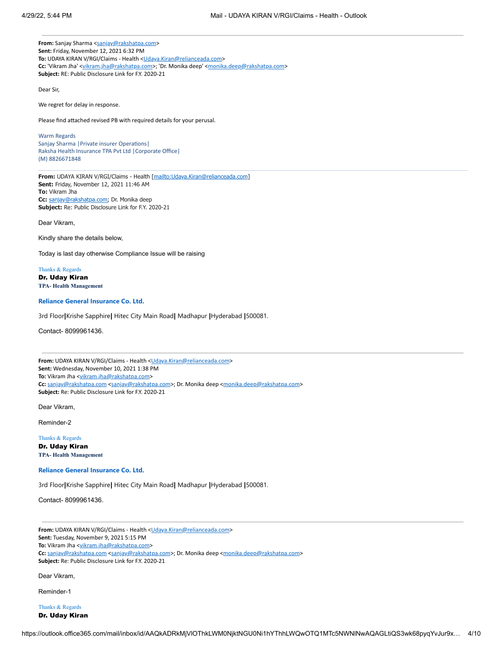From: Sanjay Sharma [<sanjay@rakshatpa.com](mailto:sanjay@rakshatpa.com)> **Sent:** Friday, November 12, 2021 6:32 PM To: UDAYA KIRAN V/RGI/Claims - Health < [Udaya.Kiran@relianceada.com](mailto:Udaya.Kiran@relianceada.com)> Cc: 'Vikram Jha' <[vikram.jha@rakshatpa.com>](mailto:vikram.jha@rakshatpa.com); 'Dr. Monika deep' [<monika.deep@rakshatpa.com](mailto:monika.deep@rakshatpa.com)> **Subject:** RE: Public Disclosure Link for F.Y. 2020-21

Dear Sir,

We regret for delay in response.

Please find attached revised PB with required details for your perusal.

Warm Regards Sanjay Sharma |Private insurer Operations| Raksha Health Insurance TPA Pvt Ltd |Corporate Office| (M) 8826671848

**From:** UDAYA KIRAN V/RGI/Claims - Health [\[mailto:Udaya.Kiran@relianceada.com\]](mailto:Udaya.Kiran@relianceada.com) **Sent:** Friday, November 12, 2021 11:46 AM **To:** Vikram Jha **Cc:** [sanjay@rakshatpa.com;](mailto:sanjay@rakshatpa.com) Dr. Monika deep **Subject:** Re: Public Disclosure Link for F.Y. 2020-21

Dear Vikram,

Kindly share the details below,

Today is last day otherwise Compliance Issue will be raising

Thanks & Regards Dr. Uday Kiran **TPA- Health Management**

# **Reliance General Insurance Co. Ltd.**

3rd Floor**|**Krishe Sapphire**|** Hitec City Main Road**|** Madhapur **|**Hyderabad **|**500081.

Contact- 8099961436.

From: UDAYA KIRAN V/RGI/Claims - Health < Udaya.Kiran@relianceada.com> **Sent:** Wednesday, November 10, 2021 1:38 PM To: Vikram Jha [<vikram.jha@rakshatpa.com](mailto:vikram.jha@rakshatpa.com)> **Cc:** [sanjay@rakshatpa.com](mailto:sanjay@rakshatpa.com) <[sanjay@rakshatpa.com>](mailto:sanjay@rakshatpa.com); Dr. Monika deep <[monika.deep@rakshatpa.com](mailto:monika.deep@rakshatpa.com)> **Subject:** Re: Public Disclosure Link for F.Y. 2020-21

Dear Vikram,

Reminder-2

Thanks & Regards Dr. Uday Kiran **TPA- Health Management**

# **Reliance General Insurance Co. Ltd.**

3rd Floor**|**Krishe Sapphire**|** Hitec City Main Road**|** Madhapur **|**Hyderabad **|**500081.

Contact- 8099961436.

From: UDAYA KIRAN V/RGI/Claims - Health < Udaya.Kiran@relianceada.com> **Sent:** Tuesday, November 9, 2021 5:15 PM To: Vikram Jha [<vikram.jha@rakshatpa.com](mailto:vikram.jha@rakshatpa.com)> Cc: [sanjay@rakshatpa.com](mailto:sanjay@rakshatpa.com) <[sanjay@rakshatpa.com>](mailto:sanjay@rakshatpa.com); Dr. Monika deep <[monika.deep@rakshatpa.com](mailto:monika.deep@rakshatpa.com)> **Subject:** Re: Public Disclosure Link for F.Y. 2020-21

Dear Vikram,

Reminder-1

Thanks & Regards Dr. Uday Kiran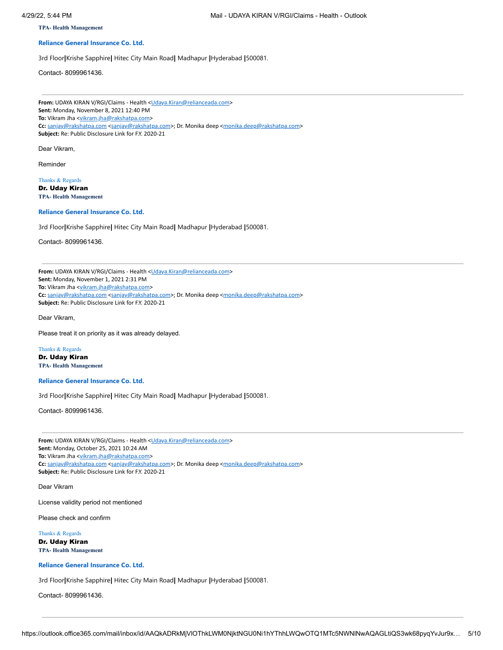**TPA- Health Management**

# **Reliance General Insurance Co. Ltd.**

3rd Floor**|**Krishe Sapphire**|** Hitec City Main Road**|** Madhapur **|**Hyderabad **|**500081.

Contact- 8099961436.

From: UDAYA KIRAN V/RGI/Claims - Health < Udaya.Kiran@relianceada.com> **Sent:** Monday, November 8, 2021 12:40 PM To: Vikram Jha [<vikram.jha@rakshatpa.com](mailto:vikram.jha@rakshatpa.com)> Cc: [sanjay@rakshatpa.com](mailto:sanjay@rakshatpa.com) <[sanjay@rakshatpa.com>](mailto:sanjay@rakshatpa.com); Dr. Monika deep <[monika.deep@rakshatpa.com](mailto:monika.deep@rakshatpa.com)> **Subject:** Re: Public Disclosure Link for F.Y. 2020-21

Dear Vikram,

Reminder

Thanks & Regards Dr. Uday Kiran **TPA- Health Management**

# **Reliance General Insurance Co. Ltd.**

3rd Floor**|**Krishe Sapphire**|** Hitec City Main Road**|** Madhapur **|**Hyderabad **|**500081.

Contact- 8099961436.

From: UDAYA KIRAN V/RGI/Claims - Health [<Udaya.Kiran@relianceada.com](mailto:Udaya.Kiran@relianceada.com)> **Sent:** Monday, November 1, 2021 2:31 PM To: Vikram Jha [<vikram.jha@rakshatpa.com](mailto:vikram.jha@rakshatpa.com)> **Cc:** [sanjay@rakshatpa.com](mailto:sanjay@rakshatpa.com) <[sanjay@rakshatpa.com>](mailto:sanjay@rakshatpa.com); Dr. Monika deep <[monika.deep@rakshatpa.com](mailto:monika.deep@rakshatpa.com)> **Subject:** Re: Public Disclosure Link for F.Y. 2020-21

Dear Vikram,

Please treat it on priority as it was already delayed.

Thanks & Regards Dr. Uday Kiran **TPA- Health Management**

**Reliance General Insurance Co. Ltd.**

3rd Floor**|**Krishe Sapphire**|** Hitec City Main Road**|** Madhapur **|**Hyderabad **|**500081.

Contact- 8099961436.

From: UDAYA KIRAN V/RGI/Claims - Health [<Udaya.Kiran@relianceada.com](mailto:Udaya.Kiran@relianceada.com)> **Sent:** Monday, October 25, 2021 10:24 AM To: Vikram Jha [<vikram.jha@rakshatpa.com](mailto:vikram.jha@rakshatpa.com)> Cc: [sanjay@rakshatpa.com](mailto:sanjay@rakshatpa.com) <[sanjay@rakshatpa.com>](mailto:sanjay@rakshatpa.com); Dr. Monika deep <[monika.deep@rakshatpa.com](mailto:monika.deep@rakshatpa.com)> **Subject:** Re: Public Disclosure Link for F.Y. 2020-21

Dear Vikram

License validity period not mentioned

Please check and confirm

Thanks & Regards Dr. Uday Kiran **TPA- Health Management**

**Reliance General Insurance Co. Ltd.**

3rd Floor**|**Krishe Sapphire**|** Hitec City Main Road**|** Madhapur **|**Hyderabad **|**500081.

Contact- 8099961436.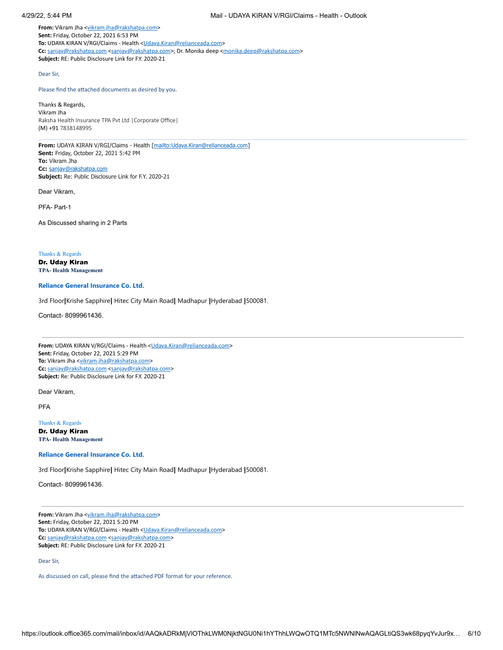From: Vikram Jha [<vikram.jha@rakshatpa.com>](mailto:vikram.jha@rakshatpa.com) **Sent:** Friday, October 22, 2021 6:53 PM To: UDAYA KIRAN V/RGI/Claims - Health <[Udaya.Kiran@relianceada.com](mailto:Udaya.Kiran@relianceada.com)> **Cc:** [sanjay@rakshatpa.com](mailto:sanjay@rakshatpa.com) <[sanjay@rakshatpa.com>](mailto:sanjay@rakshatpa.com); Dr. Monika deep <[monika.deep@rakshatpa.com](mailto:monika.deep@rakshatpa.com)> **Subject:** RE: Public Disclosure Link for F.Y. 2020-21

#### Dear Sir,

# Please find the attached documents as desired by you.

Thanks & Regards, Vikram Jha Raksha Health Insurance TPA Pvt Ltd |Corporate Office| (M) +91 7838148995

**From:** UDAYA KIRAN V/RGI/Claims - Health [\[mailto:Udaya.Kiran@relianceada.com\]](mailto:Udaya.Kiran@relianceada.com) **Sent:** Friday, October 22, 2021 5:42 PM **To:** Vikram Jha **Cc:** [sanjay@rakshatpa.com](mailto:sanjay@rakshatpa.com) **Subject:** Re: Public Disclosure Link for F.Y. 2020-21

Dear Vikram,

PFA- Part-1

As Discussed sharing in 2 Parts

Thanks & Regards

Dr. Uday Kiran **TPA- Health Management**

### **Reliance General Insurance Co. Ltd.**

3rd Floor**|**Krishe Sapphire**|** Hitec City Main Road**|** Madhapur **|**Hyderabad **|**500081.

Contact- 8099961436.

From: UDAYA KIRAN V/RGI/Claims - Health [<Udaya.Kiran@relianceada.com](mailto:Udaya.Kiran@relianceada.com)> **Sent:** Friday, October 22, 2021 5:29 PM To: Vikram Jha [<vikram.jha@rakshatpa.com](mailto:vikram.jha@rakshatpa.com)> **Cc:** [sanjay@rakshatpa.com](mailto:sanjay@rakshatpa.com) <[sanjay@rakshatpa.com>](mailto:sanjay@rakshatpa.com) **Subject:** Re: Public Disclosure Link for F.Y. 2020-21

Dear Vikram,

PFA

Thanks & Regards Dr. Uday Kiran **TPA- Health Management**

### **Reliance General Insurance Co. Ltd.**

3rd Floor**|**Krishe Sapphire**|** Hitec City Main Road**|** Madhapur **|**Hyderabad **|**500081.

Contact- 8099961436.

From: Vikram Jha [<vikram.jha@rakshatpa.com>](mailto:vikram.jha@rakshatpa.com) **Sent:** Friday, October 22, 2021 5:20 PM To: UDAYA KIRAN V/RGI/Claims - Health <[Udaya.Kiran@relianceada.com](mailto:Udaya.Kiran@relianceada.com)> **Cc:** [sanjay@rakshatpa.com](mailto:sanjay@rakshatpa.com) <[sanjay@rakshatpa.com>](mailto:sanjay@rakshatpa.com) **Subject:** RE: Public Disclosure Link for F.Y. 2020-21

# Dear Sir,

As discussed on call, please find the attached PDF format for your reference.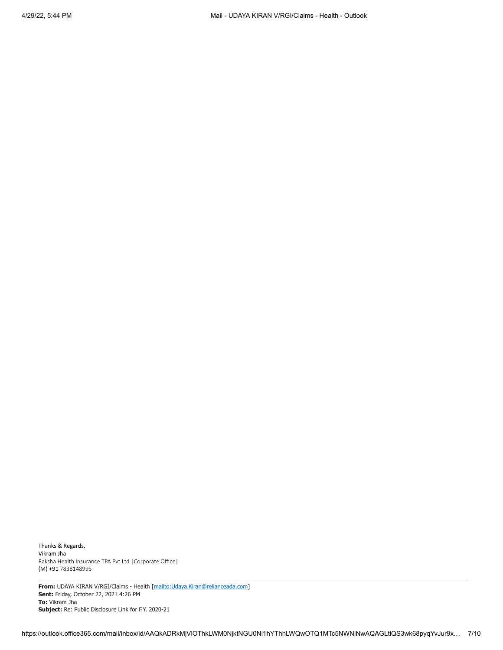Thanks & Regards, Vikram Jha Raksha Health Insurance TPA Pvt Ltd |Corporate Office| (M) +91 7838148995

**From:** UDAYA KIRAN V/RGI/Claims - Health [\[mailto:Udaya.Kiran@relianceada.com\]](mailto:Udaya.Kiran@relianceada.com) **Sent:** Friday, October 22, 2021 4:26 PM **To:** Vikram Jha **Subject:** Re: Public Disclosure Link for F.Y. 2020-21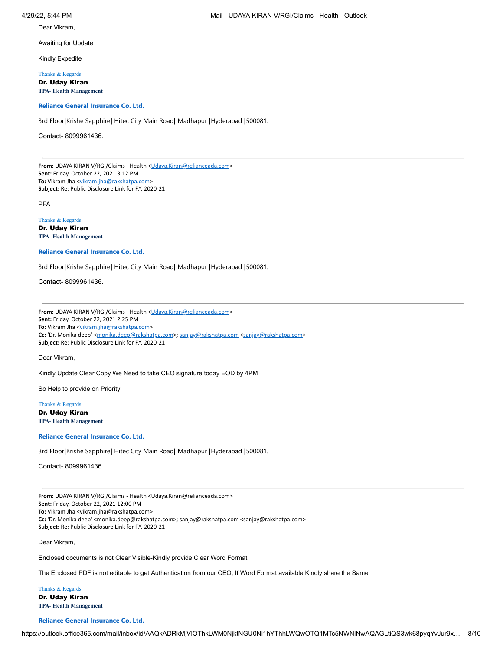Dear Vikram,

Awaiting for Update

Kindly Expedite

Thanks & Regards

Dr. Uday Kiran **TPA- Health Management**

# **Reliance General Insurance Co. Ltd.**

3rd Floor**|**Krishe Sapphire**|** Hitec City Main Road**|** Madhapur **|**Hyderabad **|**500081.

Contact- 8099961436.

From: UDAYA KIRAN V/RGI/Claims - Health [<Udaya.Kiran@relianceada.com](mailto:Udaya.Kiran@relianceada.com)> **Sent:** Friday, October 22, 2021 3:12 PM To: Vikram Jha [<vikram.jha@rakshatpa.com](mailto:vikram.jha@rakshatpa.com)> **Subject:** Re: Public Disclosure Link for F.Y. 2020-21

PFA

# Thanks & Regards

Dr. Uday Kiran **TPA- Health Management**

**Reliance General Insurance Co. Ltd.**

3rd Floor**|**Krishe Sapphire**|** Hitec City Main Road**|** Madhapur **|**Hyderabad **|**500081.

Contact- 8099961436.

From: UDAYA KIRAN V/RGI/Claims - Health [<Udaya.Kiran@relianceada.com](mailto:Udaya.Kiran@relianceada.com)> **Sent:** Friday, October 22, 2021 2:25 PM **To:** Vikram Jha [<vikram.jha@rakshatpa.com](mailto:vikram.jha@rakshatpa.com)> Cc: 'Dr. Monika deep' <[monika.deep@rakshatpa.com](mailto:monika.deep@rakshatpa.com)>; [sanjay@rakshatpa.com](mailto:sanjay@rakshatpa.com) [<sanjay@rakshatpa.com](mailto:sanjay@rakshatpa.com)> **Subject:** Re: Public Disclosure Link for F.Y. 2020-21

Dear Vikram,

Kindly Update Clear Copy We Need to take CEO signature today EOD by 4PM

So Help to provide on Priority

Thanks & Regards Dr. Uday Kiran **TPA- Health Management**

**Reliance General Insurance Co. Ltd.**

3rd Floor**|**Krishe Sapphire**|** Hitec City Main Road**|** Madhapur **|**Hyderabad **|**500081.

Contact- 8099961436.

**From:** UDAYA KIRAN V/RGI/Claims - Health <Udaya.Kiran@relianceada.com> **Sent:** Friday, October 22, 2021 12:00 PM **To:** Vikram Jha <vikram.jha@rakshatpa.com> **Cc:** 'Dr. Monika deep' <monika.deep@rakshatpa.com>; sanjay@rakshatpa.com <sanjay@rakshatpa.com> **Subject:** Re: Public Disclosure Link for F.Y. 2020-21

Dear Vikram,

Enclosed documents is not Clear Visible-Kindly provide Clear Word Format

The Enclosed PDF is not editable to get Authentication from our CEO, If Word Format available Kindly share the Same

Thanks & Regards Dr. Uday Kiran **TPA- Health Management**

**Reliance General Insurance Co. Ltd.**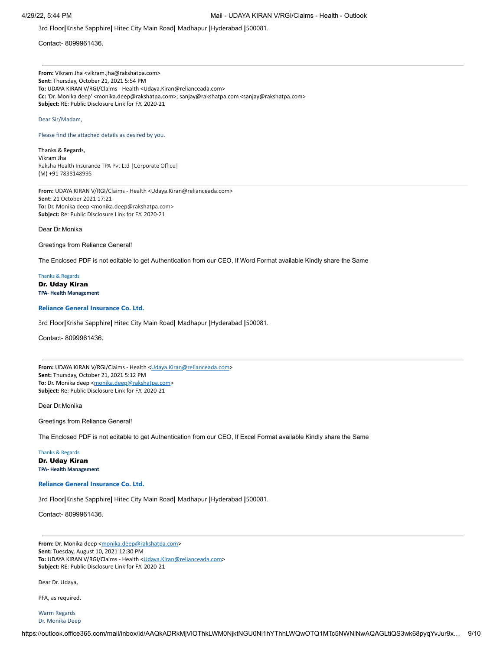3rd Floor**|**Krishe Sapphire**|** Hitec City Main Road**|** Madhapur **|**Hyderabad **|**500081.

Contact- 8099961436.

**From:** Vikram Jha <vikram.jha@rakshatpa.com> **Sent:** Thursday, October 21, 2021 5:54 PM **To:** UDAYA KIRAN V/RGI/Claims - Health <Udaya.Kiran@relianceada.com> **Cc:** 'Dr. Monika deep' <monika.deep@rakshatpa.com>; sanjay@rakshatpa.com <sanjay@rakshatpa.com> **Subject:** RE: Public Disclosure Link for F.Y. 2020-21

### Dear Sir/Madam,

Please find the attached details as desired by you.

Thanks & Regards, Vikram Jha Raksha Health Insurance TPA Pvt Ltd |Corporate Office| (M) +91 7838148995

**From:** UDAYA KIRAN V/RGI/Claims - Health <Udaya.Kiran@relianceada.com> **Sent:** 21 October 2021 17:21 **To:** Dr. Monika deep <monika.deep@rakshatpa.com> **Subject:** Re: Public Disclosure Link for F.Y. 2020-21

Dear Dr.Monika

Greetings from Reliance General!

The Enclosed PDF is not editable to get Authentication from our CEO, If Word Format available Kindly share the Same

Thanks & Regards Dr. Uday Kiran **TPA- Health Management**

# **Reliance General Insurance Co. Ltd.**

3rd Floor**|**Krishe Sapphire**|** Hitec City Main Road**|** Madhapur **|**Hyderabad **|**500081.

Contact- 8099961436.

From: UDAYA KIRAN V/RGI/Claims - Health < Udaya.Kiran@relianceada.com> **Sent:** Thursday, October 21, 2021 5:12 PM To: Dr. Monika deep <[monika.deep@rakshatpa.com>](mailto:monika.deep@rakshatpa.com) **Subject:** Re: Public Disclosure Link for F.Y. 2020-21

Dear Dr.Monika

Greetings from Reliance General!

The Enclosed PDF is not editable to get Authentication from our CEO, If Excel Format available Kindly share the Same

Thanks & Regards Dr. Uday Kiran **TPA- Health Management**

#### **Reliance General Insurance Co. Ltd.**

3rd Floor**|**Krishe Sapphire**|** Hitec City Main Road**|** Madhapur **|**Hyderabad **|**500081.

Contact- 8099961436.

From: Dr. Monika deep <[monika.deep@rakshatpa.com>](mailto:monika.deep@rakshatpa.com) **Sent:** Tuesday, August 10, 2021 12:30 PM To: UDAYA KIRAN V/RGI/Claims - Health < [Udaya.Kiran@relianceada.com](mailto:Udaya.Kiran@relianceada.com)> **Subject:** RE: Public Disclosure Link for F.Y. 2020-21

Dear Dr. Udaya,

PFA, as required.

Warm Regards Dr. Monika Deep